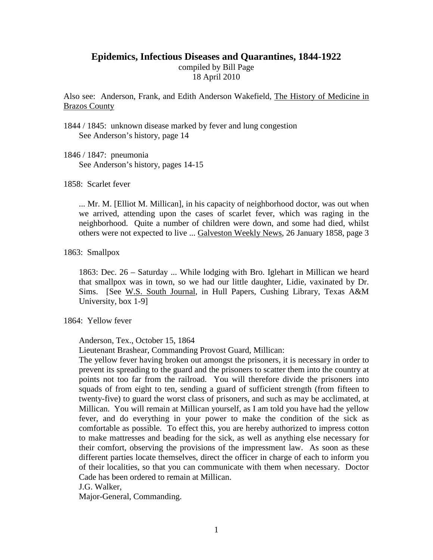# **Epidemics, Infectious Diseases and Quarantines, 1844-1922**

compiled by Bill Page 18 April 2010

Also see: Anderson, Frank, and Edith Anderson Wakefield, The History of Medicine in Brazos County

1844 / 1845: unknown disease marked by fever and lung congestion See Anderson's history, page 14

1846 / 1847: pneumonia See Anderson's history, pages 14-15

1858: Scarlet fever

... Mr. M. [Elliot M. Millican], in his capacity of neighborhood doctor, was out when we arrived, attending upon the cases of scarlet fever, which was raging in the neighborhood. Quite a number of children were down, and some had died, whilst others were not expected to live ... Galveston Weekly News, 26 January 1858, page 3

## 1863: Smallpox

1863: Dec. 26 – Saturday ... While lodging with Bro. Iglehart in Millican we heard that smallpox was in town, so we had our little daughter, Lidie, vaxinated by Dr. Sims. [See W.S. South Journal, in Hull Papers, Cushing Library, Texas A&M University, box 1-9]

#### 1864: Yellow fever

Anderson, Tex., October 15, 1864

Lieutenant Brashear, Commanding Provost Guard, Millican:

The yellow fever having broken out amongst the prisoners, it is necessary in order to prevent its spreading to the guard and the prisoners to scatter them into the country at points not too far from the railroad. You will therefore divide the prisoners into squads of from eight to ten, sending a guard of sufficient strength (from fifteen to twenty-five) to guard the worst class of prisoners, and such as may be acclimated, at Millican. You will remain at Millican yourself, as I am told you have had the yellow fever, and do everything in your power to make the condition of the sick as comfortable as possible. To effect this, you are hereby authorized to impress cotton to make mattresses and beading for the sick, as well as anything else necessary for their comfort, observing the provisions of the impressment law. As soon as these different parties locate themselves, direct the officer in charge of each to inform you of their localities, so that you can communicate with them when necessary. Doctor Cade has been ordered to remain at Millican.

J.G. Walker,

Major-General, Commanding.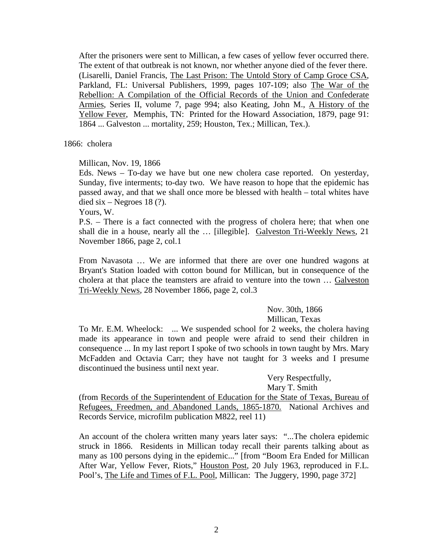After the prisoners were sent to Millican, a few cases of yellow fever occurred there. The extent of that outbreak is not known, nor whether anyone died of the fever there. (Lisarelli, Daniel Francis, The Last Prison: The Untold Story of Camp Groce CSA, Parkland, FL: Universal Publishers, 1999, pages 107-109; also The War of the Rebellion: A Compilation of the Official Records of the Union and Confederate Armies, Series II, volume 7, page 994; also Keating, John M., A History of the Yellow Fever, Memphis, TN: Printed for the Howard Association, 1879, page 91: 1864 ... Galveston ... mortality, 259; Houston, Tex.; Millican, Tex.).

1866: cholera

Millican, Nov. 19, 1866

Eds. News – To-day we have but one new cholera case reported. On yesterday, Sunday, five interments; to-day two. We have reason to hope that the epidemic has passed away, and that we shall once more be blessed with health – total whites have died six – Negroes 18 $(?)$ .

Yours, W.

P.S. – There is a fact connected with the progress of cholera here; that when one shall die in a house, nearly all the … [illegible]. Galveston Tri-Weekly News, 21 November 1866, page 2, col.1

From Navasota … We are informed that there are over one hundred wagons at Bryant's Station loaded with cotton bound for Millican, but in consequence of the cholera at that place the teamsters are afraid to venture into the town … Galveston Tri-Weekly News, 28 November 1866, page 2, col.3

> Nov. 30th, 1866 Millican, Texas

To Mr. E.M. Wheelock: ... We suspended school for 2 weeks, the cholera having made its appearance in town and people were afraid to send their children in consequence ... In my last report I spoke of two schools in town taught by Mrs. Mary McFadden and Octavia Carr; they have not taught for 3 weeks and I presume discontinued the business until next year.

> Very Respectfully, Mary T. Smith

(from Records of the Superintendent of Education for the State of Texas, Bureau of Refugees, Freedmen, and Abandoned Lands, 1865-1870. National Archives and Records Service, microfilm publication M822, reel 11)

An account of the cholera written many years later says: "...The cholera epidemic struck in 1866. Residents in Millican today recall their parents talking about as many as 100 persons dying in the epidemic..." [from "Boom Era Ended for Millican After War, Yellow Fever, Riots," Houston Post, 20 July 1963, reproduced in F.L. Pool's, The Life and Times of F.L. Pool, Millican: The Juggery, 1990, page 372]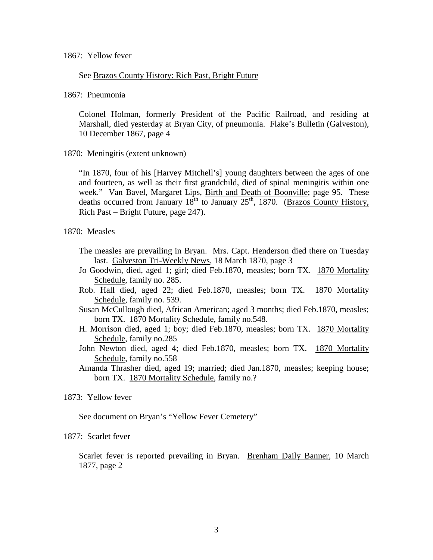## See Brazos County History: Rich Past, Bright Future

1867: Pneumonia

Colonel Holman, formerly President of the Pacific Railroad, and residing at Marshall, died yesterday at Bryan City, of pneumonia. Flake's Bulletin (Galveston), 10 December 1867, page 4

1870: Meningitis (extent unknown)

"In 1870, four of his [Harvey Mitchell's] young daughters between the ages of one and fourteen, as well as their first grandchild, died of spinal meningitis within one week." Van Bavel, Margaret Lips, Birth and Death of Boonville; page 95. These deaths occurred from January  $18^{th}$  to January  $25^{th}$ , 1870. (Brazos County History, Rich Past – Bright Future, page 247).

1870: Measles

- The measles are prevailing in Bryan. Mrs. Capt. Henderson died there on Tuesday last. Galveston Tri-Weekly News, 18 March 1870, page 3
- Jo Goodwin, died, aged 1; girl; died Feb.1870, measles; born TX. 1870 Mortality Schedule, family no. 285.
- Rob. Hall died, aged 22; died Feb.1870, measles; born TX. 1870 Mortality Schedule, family no. 539.
- Susan McCullough died, African American; aged 3 months; died Feb.1870, measles; born TX. 1870 Mortality Schedule, family no.548.
- H. Morrison died, aged 1; boy; died Feb.1870, measles; born TX. 1870 Mortality Schedule, family no.285
- John Newton died, aged 4; died Feb.1870, measles; born TX. 1870 Mortality Schedule, family no.558
- Amanda Thrasher died, aged 19; married; died Jan.1870, measles; keeping house; born TX. 1870 Mortality Schedule, family no.?

# 1873: Yellow fever

See document on Bryan's "Yellow Fever Cemetery"

# 1877: Scarlet fever

Scarlet fever is reported prevailing in Bryan. Brenham Daily Banner, 10 March 1877, page 2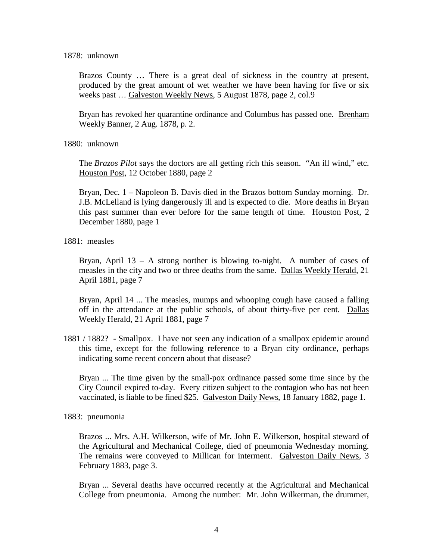#### 1878: unknown

Brazos County … There is a great deal of sickness in the country at present, produced by the great amount of wet weather we have been having for five or six weeks past … Galveston Weekly News, 5 August 1878, page 2, col.9

Bryan has revoked her quarantine ordinance and Columbus has passed one. Brenham Weekly Banner, 2 Aug. 1878, p. 2.

1880: unknown

The *Brazos Pilot* says the doctors are all getting rich this season. "An ill wind," etc. Houston Post, 12 October 1880, page 2

Bryan, Dec. 1 – Napoleon B. Davis died in the Brazos bottom Sunday morning. Dr. J.B. McLelland is lying dangerously ill and is expected to die. More deaths in Bryan this past summer than ever before for the same length of time. Houston Post, 2 December 1880, page 1

1881: measles

Bryan, April 13 – A strong norther is blowing to-night. A number of cases of measles in the city and two or three deaths from the same. Dallas Weekly Herald, 21 April 1881, page 7

Bryan, April 14 ... The measles, mumps and whooping cough have caused a falling off in the attendance at the public schools, of about thirty-five per cent. Dallas Weekly Herald, 21 April 1881, page 7

1881 / 1882? - Smallpox. I have not seen any indication of a smallpox epidemic around this time, except for the following reference to a Bryan city ordinance, perhaps indicating some recent concern about that disease?

Bryan ... The time given by the small-pox ordinance passed some time since by the City Council expired to-day. Every citizen subject to the contagion who has not been vaccinated, is liable to be fined \$25. Galveston Daily News, 18 January 1882, page 1.

1883: pneumonia

Brazos ... Mrs. A.H. Wilkerson, wife of Mr. John E. Wilkerson, hospital steward of the Agricultural and Mechanical College, died of pneumonia Wednesday morning. The remains were conveyed to Millican for interment. Galveston Daily News, 3 February 1883, page 3.

Bryan ... Several deaths have occurred recently at the Agricultural and Mechanical College from pneumonia. Among the number: Mr. John Wilkerman, the drummer,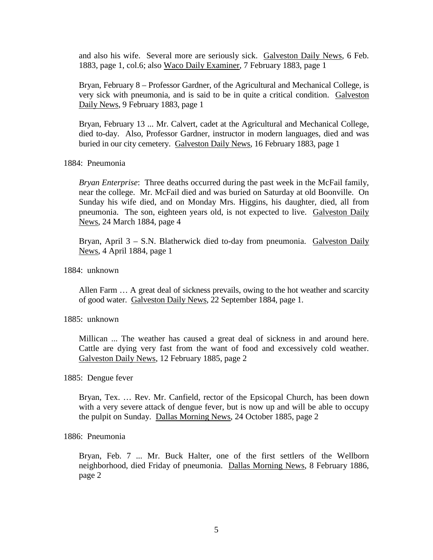and also his wife. Several more are seriously sick. Galveston Daily News, 6 Feb. 1883, page 1, col.6; also Waco Daily Examiner, 7 February 1883, page 1

Bryan, February 8 – Professor Gardner, of the Agricultural and Mechanical College, is very sick with pneumonia, and is said to be in quite a critical condition. Galveston Daily News, 9 February 1883, page 1

Bryan, February 13 ... Mr. Calvert, cadet at the Agricultural and Mechanical College, died to-day. Also, Professor Gardner, instructor in modern languages, died and was buried in our city cemetery. Galveston Daily News, 16 February 1883, page 1

#### 1884: Pneumonia

*Bryan Enterprise*: Three deaths occurred during the past week in the McFail family, near the college. Mr. McFail died and was buried on Saturday at old Boonville. On Sunday his wife died, and on Monday Mrs. Higgins, his daughter, died, all from pneumonia. The son, eighteen years old, is not expected to live. Galveston Daily News, 24 March 1884, page 4

Bryan, April 3 – S.N. Blatherwick died to-day from pneumonia. Galveston Daily News, 4 April 1884, page 1

# 1884: unknown

Allen Farm … A great deal of sickness prevails, owing to the hot weather and scarcity of good water. Galveston Daily News, 22 September 1884, page 1.

### 1885: unknown

Millican ... The weather has caused a great deal of sickness in and around here. Cattle are dying very fast from the want of food and excessively cold weather. Galveston Daily News, 12 February 1885, page 2

#### 1885: Dengue fever

Bryan, Tex. … Rev. Mr. Canfield, rector of the Epsicopal Church, has been down with a very severe attack of dengue fever, but is now up and will be able to occupy the pulpit on Sunday. Dallas Morning News, 24 October 1885, page 2

# 1886: Pneumonia

Bryan, Feb. 7 ... Mr. Buck Halter, one of the first settlers of the Wellborn neighborhood, died Friday of pneumonia. Dallas Morning News, 8 February 1886, page 2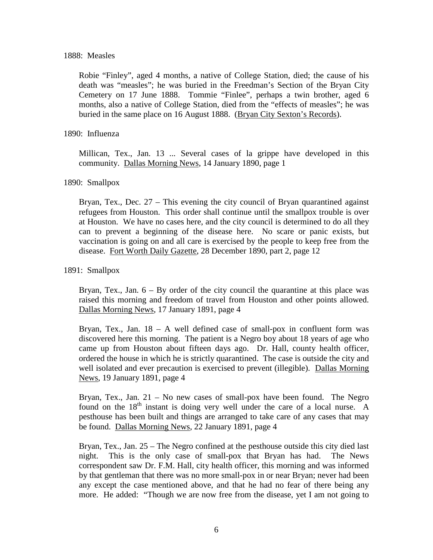### 1888: Measles

Robie "Finley", aged 4 months, a native of College Station, died; the cause of his death was "measles"; he was buried in the Freedman's Section of the Bryan City Cemetery on 17 June 1888. Tommie "Finlee", perhaps a twin brother, aged 6 months, also a native of College Station, died from the "effects of measles"; he was buried in the same place on 16 August 1888. (Bryan City Sexton's Records).

### 1890: Influenza

Millican, Tex., Jan. 13 ... Several cases of la grippe have developed in this community. Dallas Morning News, 14 January 1890, page 1

# 1890: Smallpox

Bryan, Tex., Dec. 27 – This evening the city council of Bryan quarantined against refugees from Houston. This order shall continue until the smallpox trouble is over at Houston. We have no cases here, and the city council is determined to do all they can to prevent a beginning of the disease here. No scare or panic exists, but vaccination is going on and all care is exercised by the people to keep free from the disease. Fort Worth Daily Gazette, 28 December 1890, part 2, page 12

# 1891: Smallpox

Bryan, Tex., Jan.  $6 - By$  order of the city council the quarantine at this place was raised this morning and freedom of travel from Houston and other points allowed. Dallas Morning News, 17 January 1891, page 4

Bryan, Tex., Jan.  $18 - A$  well defined case of small-pox in confluent form was discovered here this morning. The patient is a Negro boy about 18 years of age who came up from Houston about fifteen days ago. Dr. Hall, county health officer, ordered the house in which he is strictly quarantined. The case is outside the city and well isolated and ever precaution is exercised to prevent (illegible). Dallas Morning News, 19 January 1891, page 4

Bryan, Tex., Jan.  $21 - No$  new cases of small-pox have been found. The Negro found on the  $18<sup>th</sup>$  instant is doing very well under the care of a local nurse. A pesthouse has been built and things are arranged to take care of any cases that may be found. Dallas Morning News, 22 January 1891, page 4

Bryan, Tex., Jan. 25 – The Negro confined at the pesthouse outside this city died last night. This is the only case of small-pox that Bryan has had. The News correspondent saw Dr. F.M. Hall, city health officer, this morning and was informed by that gentleman that there was no more small-pox in or near Bryan; never had been any except the case mentioned above, and that he had no fear of there being any more. He added: "Though we are now free from the disease, yet I am not going to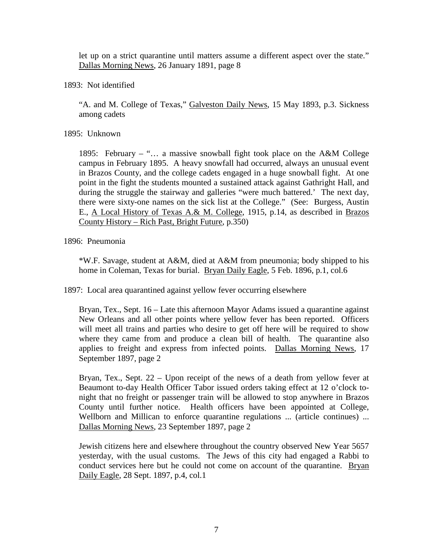let up on a strict quarantine until matters assume a different aspect over the state." Dallas Morning News, 26 January 1891, page 8

1893: Not identified

"A. and M. College of Texas," Galveston Daily News, 15 May 1893, p.3. Sickness among cadets

1895: Unknown

1895: February – "… a massive snowball fight took place on the A&M College campus in February 1895. A heavy snowfall had occurred, always an unusual event in Brazos County, and the college cadets engaged in a huge snowball fight. At one point in the fight the students mounted a sustained attack against Gathright Hall, and during the struggle the stairway and galleries "were much battered.' The next day, there were sixty-one names on the sick list at the College." (See: Burgess, Austin E., A Local History of Texas A.& M. College, 1915, p.14, as described in Brazos County History – Rich Past, Bright Future, p.350)

1896: Pneumonia

\*W.F. Savage, student at A&M, died at A&M from pneumonia; body shipped to his home in Coleman, Texas for burial. Bryan Daily Eagle, 5 Feb. 1896, p.1, col.6

1897: Local area quarantined against yellow fever occurring elsewhere

Bryan, Tex., Sept. 16 – Late this afternoon Mayor Adams issued a quarantine against New Orleans and all other points where yellow fever has been reported. Officers will meet all trains and parties who desire to get off here will be required to show where they came from and produce a clean bill of health. The quarantine also applies to freight and express from infected points. Dallas Morning News, 17 September 1897, page 2

Bryan, Tex., Sept. 22 – Upon receipt of the news of a death from yellow fever at Beaumont to-day Health Officer Tabor issued orders taking effect at 12 o'clock tonight that no freight or passenger train will be allowed to stop anywhere in Brazos County until further notice. Health officers have been appointed at College, Wellborn and Millican to enforce quarantine regulations ... (article continues) ... Dallas Morning News, 23 September 1897, page 2

Jewish citizens here and elsewhere throughout the country observed New Year 5657 yesterday, with the usual customs. The Jews of this city had engaged a Rabbi to conduct services here but he could not come on account of the quarantine. Bryan Daily Eagle, 28 Sept. 1897, p.4, col.1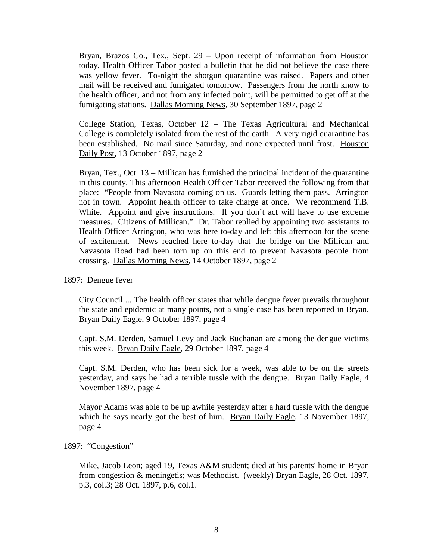Bryan, Brazos Co., Tex., Sept. 29 – Upon receipt of information from Houston today, Health Officer Tabor posted a bulletin that he did not believe the case there was yellow fever. To-night the shotgun quarantine was raised. Papers and other mail will be received and fumigated tomorrow. Passengers from the north know to the health officer, and not from any infected point, will be permitted to get off at the fumigating stations. Dallas Morning News, 30 September 1897, page 2

College Station, Texas, October 12 – The Texas Agricultural and Mechanical College is completely isolated from the rest of the earth. A very rigid quarantine has been established. No mail since Saturday, and none expected until frost. Houston Daily Post, 13 October 1897, page 2

Bryan, Tex., Oct. 13 – Millican has furnished the principal incident of the quarantine in this county. This afternoon Health Officer Tabor received the following from that place: "People from Navasota coming on us. Guards letting them pass. Arrington not in town. Appoint health officer to take charge at once. We recommend T.B. White. Appoint and give instructions. If you don't act will have to use extreme measures. Citizens of Millican." Dr. Tabor replied by appointing two assistants to Health Officer Arrington, who was here to-day and left this afternoon for the scene of excitement. News reached here to-day that the bridge on the Millican and Navasota Road had been torn up on this end to prevent Navasota people from crossing. Dallas Morning News, 14 October 1897, page 2

1897: Dengue fever

City Council ... The health officer states that while dengue fever prevails throughout the state and epidemic at many points, not a single case has been reported in Bryan. Bryan Daily Eagle, 9 October 1897, page 4

Capt. S.M. Derden, Samuel Levy and Jack Buchanan are among the dengue victims this week. Bryan Daily Eagle, 29 October 1897, page 4

Capt. S.M. Derden, who has been sick for a week, was able to be on the streets yesterday, and says he had a terrible tussle with the dengue. Bryan Daily Eagle, 4 November 1897, page 4

Mayor Adams was able to be up awhile yesterday after a hard tussle with the dengue which he says nearly got the best of him. Bryan Daily Eagle, 13 November 1897, page 4

### 1897: "Congestion"

Mike, Jacob Leon; aged 19, Texas A&M student; died at his parents' home in Bryan from congestion & meningetis; was Methodist. (weekly) Bryan Eagle, 28 Oct. 1897, p.3, col.3; 28 Oct. 1897, p.6, col.1.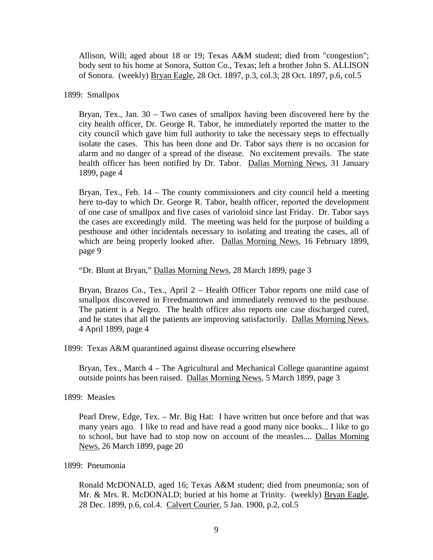Allison, Will; aged about 18 or 19; Texas A&M student; died from "congestion"; body sent to his home at Sonora, Sutton Co., Texas; left a brother John S. ALLISON of Sonora. (weekly) Bryan Eagle, 28 Oct. 1897, p.3, col.3; 28 Oct. 1897, p.6, col.5

1899: Smallpox

Bryan, Tex., Jan. 30 – Two cases of smallpox having been discovered here by the city health officer, Dr. George R. Tabor, he immediately reported the matter to the city council which gave him full authority to take the necessary steps to effectually isolate the cases. This has been done and Dr. Tabor says there is no occasion for alarm and no danger of a spread of the disease. No excitement prevails. The state health officer has been notified by Dr. Tabor. Dallas Morning News, 31 January 1899, page 4

Bryan, Tex., Feb.  $14$  – The county commissioners and city council held a meeting here to-day to which Dr. George R. Tabor, health officer, reported the development of one case of smallpox and five cases of varioloid since last Friday. Dr. Tabor says the cases are exceedingly mild. The meeting was held for the purpose of building a pesthouse and other incidentals necessary to isolating and treating the cases, all of which are being properly looked after. Dallas Morning News, 16 February 1899, page 9

"Dr. Blunt at Bryan," Dallas Morning News, 28 March 1899, page 3

Bryan, Brazos Co., Tex., April 2 – Health Officer Tabor reports one mild case of smallpox discovered in Freedmantown and immediately removed to the pesthouse. The patient is a Negro. The health officer also reports one case discharged cured, and he states that all the patients are improving satisfactorily. Dallas Morning News, 4 April 1899, page 4

1899: Texas A&M quarantined against disease occurring elsewhere

Bryan, Tex., March 4 – The Agricultural and Mechanical College quarantine against outside points has been raised. Dallas Morning News, 5 March 1899, page 3

1899: Measles

Pearl Drew, Edge, Tex. – Mr. Big Hat: I have written but once before and that was many years ago. I like to read and have read a good many nice books... I like to go to school, but have had to stop now on account of the measles.... Dallas Morning News, 26 March 1899, page 20

# 1899: Pneumonia

Ronald McDONALD, aged 16; Texas A&M student; died from pneumonia; son of Mr. & Mrs. R. McDONALD; buried at his home at Trinity. (weekly) Bryan Eagle, 28 Dec. 1899, p.6, col.4. Calvert Courier, 5 Jan. 1900, p.2, col.5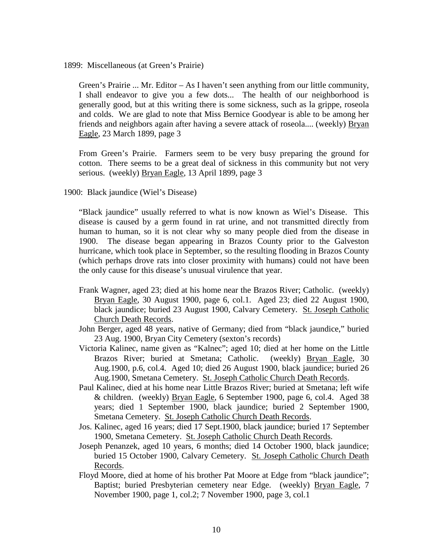1899: Miscellaneous (at Green's Prairie)

Green's Prairie ... Mr. Editor – As I haven't seen anything from our little community, I shall endeavor to give you a few dots... The health of our neighborhood is generally good, but at this writing there is some sickness, such as la grippe, roseola and colds. We are glad to note that Miss Bernice Goodyear is able to be among her friends and neighbors again after having a severe attack of roseola.... (weekly) Bryan Eagle, 23 March 1899, page 3

From Green's Prairie. Farmers seem to be very busy preparing the ground for cotton. There seems to be a great deal of sickness in this community but not very serious. (weekly) Bryan Eagle, 13 April 1899, page 3

1900: Black jaundice (Wiel's Disease)

"Black jaundice" usually referred to what is now known as Wiel's Disease. This disease is caused by a germ found in rat urine, and not transmitted directly from human to human, so it is not clear why so many people died from the disease in 1900. The disease began appearing in Brazos County prior to the Galveston hurricane, which took place in September, so the resulting flooding in Brazos County (which perhaps drove rats into closer proximity with humans) could not have been the only cause for this disease's unusual virulence that year.

- Frank Wagner, aged 23; died at his home near the Brazos River; Catholic. (weekly) Bryan Eagle, 30 August 1900, page 6, col.1. Aged 23; died 22 August 1900, black jaundice; buried 23 August 1900, Calvary Cemetery. St. Joseph Catholic Church Death Records.
- John Berger, aged 48 years, native of Germany; died from "black jaundice," buried 23 Aug. 1900, Bryan City Cemetery (sexton's records)
- Victoria Kalinec, name given as "Kalnec"; aged 10; died at her home on the Little Brazos River; buried at Smetana; Catholic. (weekly) Bryan Eagle, 30 Aug.1900, p.6, col.4. Aged 10; died 26 August 1900, black jaundice; buried 26 Aug.1900, Smetana Cemetery. St. Joseph Catholic Church Death Records.
- Paul Kalinec, died at his home near Little Brazos River; buried at Smetana; left wife & children. (weekly) Bryan Eagle, 6 September 1900, page 6, col.4. Aged 38 years; died 1 September 1900, black jaundice; buried 2 September 1900, Smetana Cemetery. St. Joseph Catholic Church Death Records.
- Jos. Kalinec, aged 16 years; died 17 Sept.1900, black jaundice; buried 17 September 1900, Smetana Cemetery. St. Joseph Catholic Church Death Records.
- Joseph Penanzek, aged 10 years, 6 months; died 14 October 1900, black jaundice; buried 15 October 1900, Calvary Cemetery. St. Joseph Catholic Church Death Records.
- Floyd Moore, died at home of his brother Pat Moore at Edge from "black jaundice"; Baptist; buried Presbyterian cemetery near Edge. (weekly) Bryan Eagle, 7 November 1900, page 1, col.2; 7 November 1900, page 3, col.1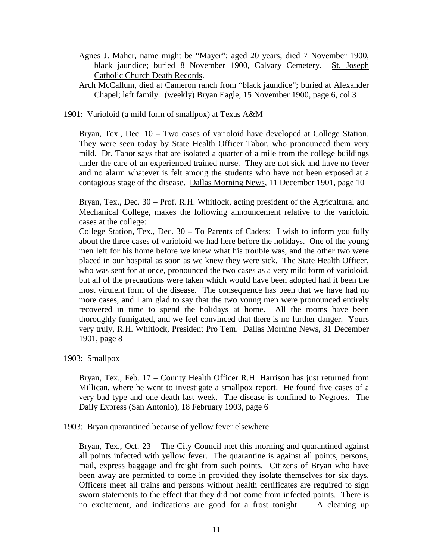- Agnes J. Maher, name might be "Mayer"; aged 20 years; died 7 November 1900, black jaundice; buried 8 November 1900, Calvary Cemetery. St. Joseph Catholic Church Death Records.
- Arch McCallum, died at Cameron ranch from "black jaundice"; buried at Alexander Chapel; left family. (weekly) Bryan Eagle, 15 November 1900, page 6, col.3
- 1901: Varioloid (a mild form of smallpox) at Texas A&M

Bryan, Tex., Dec. 10 – Two cases of varioloid have developed at College Station. They were seen today by State Health Officer Tabor, who pronounced them very mild. Dr. Tabor says that are isolated a quarter of a mile from the college buildings under the care of an experienced trained nurse. They are not sick and have no fever and no alarm whatever is felt among the students who have not been exposed at a contagious stage of the disease. Dallas Morning News, 11 December 1901, page 10

Bryan, Tex., Dec. 30 – Prof. R.H. Whitlock, acting president of the Agricultural and Mechanical College, makes the following announcement relative to the varioloid cases at the college:

College Station, Tex., Dec. 30 – To Parents of Cadets: I wish to inform you fully about the three cases of varioloid we had here before the holidays. One of the young men left for his home before we knew what his trouble was, and the other two were placed in our hospital as soon as we knew they were sick. The State Health Officer, who was sent for at once, pronounced the two cases as a very mild form of varioloid, but all of the precautions were taken which would have been adopted had it been the most virulent form of the disease. The consequence has been that we have had no more cases, and I am glad to say that the two young men were pronounced entirely recovered in time to spend the holidays at home. All the rooms have been thoroughly fumigated, and we feel convinced that there is no further danger. Yours very truly, R.H. Whitlock, President Pro Tem. Dallas Morning News, 31 December 1901, page 8

1903: Smallpox

Bryan, Tex., Feb. 17 – County Health Officer R.H. Harrison has just returned from Millican, where he went to investigate a smallpox report. He found five cases of a very bad type and one death last week. The disease is confined to Negroes. The Daily Express (San Antonio), 18 February 1903, page 6

1903: Bryan quarantined because of yellow fever elsewhere

Bryan, Tex., Oct. 23 – The City Council met this morning and quarantined against all points infected with yellow fever. The quarantine is against all points, persons, mail, express baggage and freight from such points. Citizens of Bryan who have been away are permitted to come in provided they isolate themselves for six days. Officers meet all trains and persons without health certificates are required to sign sworn statements to the effect that they did not come from infected points. There is no excitement, and indications are good for a frost tonight. A cleaning up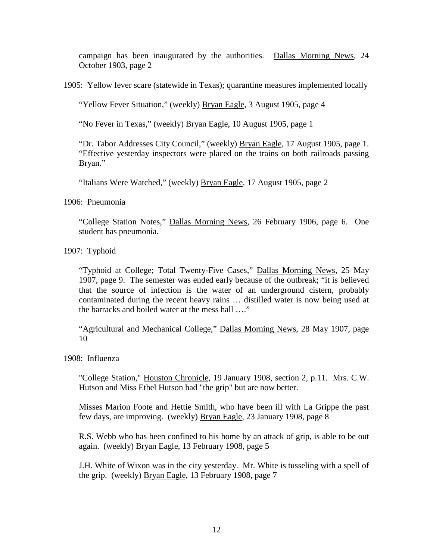campaign has been inaugurated by the authorities. Dallas Morning News, 24 October 1903, page 2

1905: Yellow fever scare (statewide in Texas); quarantine measures implemented locally

"Yellow Fever Situation," (weekly) Bryan Eagle, 3 August 1905, page 4

"No Fever in Texas," (weekly) Bryan Eagle, 10 August 1905, page 1

"Dr. Tabor Addresses City Council," (weekly) Bryan Eagle, 17 August 1905, page 1. "Effective yesterday inspectors were placed on the trains on both railroads passing Bryan."

"Italians Were Watched," (weekly) Bryan Eagle, 17 August 1905, page 2

1906: Pneumonia

"College Station Notes," Dallas Morning News, 26 February 1906, page 6. One student has pneumonia.

1907: Typhoid

"Typhoid at College; Total Twenty-Five Cases," Dallas Morning News, 25 May 1907, page 9. The semester was ended early because of the outbreak; "it is believed that the source of infection is the water of an underground cistern, probably contaminated during the recent heavy rains … distilled water is now being used at the barracks and boiled water at the mess hall …."

"Agricultural and Mechanical College," Dallas Morning News, 28 May 1907, page 10

1908: Influenza

"College Station," Houston Chronicle, 19 January 1908, section 2, p.11. Mrs. C.W. Hutson and Miss Ethel Hutson had "the grip" but are now better.

Misses Marion Foote and Hettie Smith, who have been ill with La Grippe the past few days, are improving. (weekly) Bryan Eagle, 23 January 1908, page 8

R.S. Webb who has been confined to his home by an attack of grip, is able to be out again. (weekly) Bryan Eagle, 13 February 1908, page 5

J.H. White of Wixon was in the city yesterday. Mr. White is tusseling with a spell of the grip. (weekly) Bryan Eagle, 13 February 1908, page 7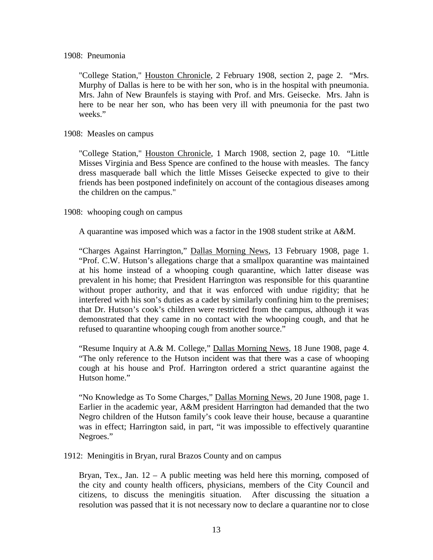"College Station," Houston Chronicle, 2 February 1908, section 2, page 2. "Mrs. Murphy of Dallas is here to be with her son, who is in the hospital with pneumonia. Mrs. Jahn of New Braunfels is staying with Prof. and Mrs. Geisecke. Mrs. Jahn is here to be near her son, who has been very ill with pneumonia for the past two weeks."

## 1908: Measles on campus

"College Station," Houston Chronicle, 1 March 1908, section 2, page 10. "Little Misses Virginia and Bess Spence are confined to the house with measles. The fancy dress masquerade ball which the little Misses Geisecke expected to give to their friends has been postponed indefinitely on account of the contagious diseases among the children on the campus."

# 1908: whooping cough on campus

A quarantine was imposed which was a factor in the 1908 student strike at A&M.

"Charges Against Harrington," Dallas Morning News, 13 February 1908, page 1. "Prof. C.W. Hutson's allegations charge that a smallpox quarantine was maintained at his home instead of a whooping cough quarantine, which latter disease was prevalent in his home; that President Harrington was responsible for this quarantine without proper authority, and that it was enforced with undue rigidity; that he interfered with his son's duties as a cadet by similarly confining him to the premises; that Dr. Hutson's cook's children were restricted from the campus, although it was demonstrated that they came in no contact with the whooping cough, and that he refused to quarantine whooping cough from another source."

"Resume Inquiry at A.& M. College," Dallas Morning News, 18 June 1908, page 4. "The only reference to the Hutson incident was that there was a case of whooping cough at his house and Prof. Harrington ordered a strict quarantine against the Hutson home."

"No Knowledge as To Some Charges," Dallas Morning News, 20 June 1908, page 1. Earlier in the academic year, A&M president Harrington had demanded that the two Negro children of the Hutson family's cook leave their house, because a quarantine was in effect; Harrington said, in part, "it was impossible to effectively quarantine Negroes."

1912: Meningitis in Bryan, rural Brazos County and on campus

Bryan, Tex., Jan.  $12 - A$  public meeting was held here this morning, composed of the city and county health officers, physicians, members of the City Council and citizens, to discuss the meningitis situation. After discussing the situation a resolution was passed that it is not necessary now to declare a quarantine nor to close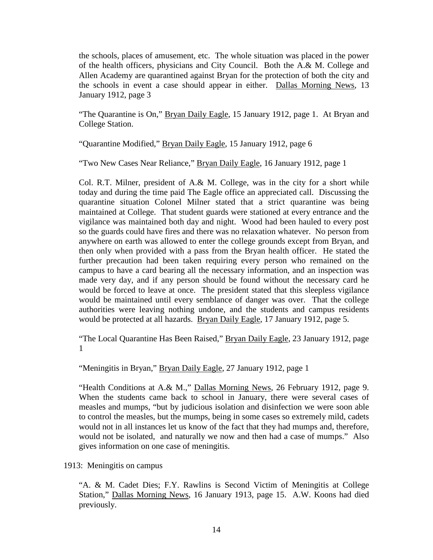the schools, places of amusement, etc. The whole situation was placed in the power of the health officers, physicians and City Council. Both the A.& M. College and Allen Academy are quarantined against Bryan for the protection of both the city and the schools in event a case should appear in either. Dallas Morning News, 13 January 1912, page 3

"The Quarantine is On," Bryan Daily Eagle, 15 January 1912, page 1. At Bryan and College Station.

"Quarantine Modified," Bryan Daily Eagle, 15 January 1912, page 6

"Two New Cases Near Reliance," Bryan Daily Eagle, 16 January 1912, page 1

Col. R.T. Milner, president of A.& M. College, was in the city for a short while today and during the time paid The Eagle office an appreciated call. Discussing the quarantine situation Colonel Milner stated that a strict quarantine was being maintained at College. That student guards were stationed at every entrance and the vigilance was maintained both day and night. Wood had been hauled to every post so the guards could have fires and there was no relaxation whatever. No person from anywhere on earth was allowed to enter the college grounds except from Bryan, and then only when provided with a pass from the Bryan health officer. He stated the further precaution had been taken requiring every person who remained on the campus to have a card bearing all the necessary information, and an inspection was made very day, and if any person should be found without the necessary card he would be forced to leave at once. The president stated that this sleepless vigilance would be maintained until every semblance of danger was over. That the college authorities were leaving nothing undone, and the students and campus residents would be protected at all hazards. Bryan Daily Eagle, 17 January 1912, page 5.

"The Local Quarantine Has Been Raised," Bryan Daily Eagle, 23 January 1912, page 1

"Meningitis in Bryan," Bryan Daily Eagle, 27 January 1912, page 1

"Health Conditions at A.& M.," Dallas Morning News, 26 February 1912, page 9. When the students came back to school in January, there were several cases of measles and mumps, "but by judicious isolation and disinfection we were soon able to control the measles, but the mumps, being in some cases so extremely mild, cadets would not in all instances let us know of the fact that they had mumps and, therefore, would not be isolated, and naturally we now and then had a case of mumps." Also gives information on one case of meningitis.

1913: Meningitis on campus

"A. & M. Cadet Dies; F.Y. Rawlins is Second Victim of Meningitis at College Station," Dallas Morning News, 16 January 1913, page 15. A.W. Koons had died previously.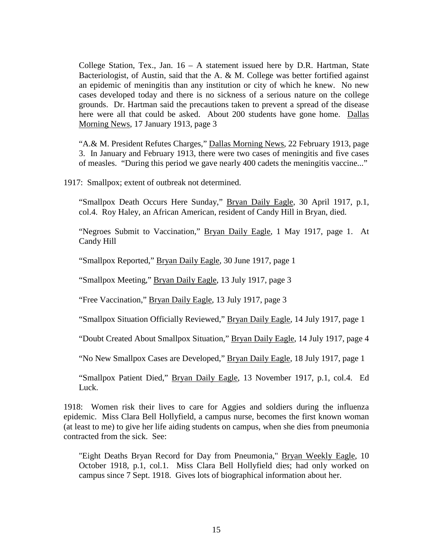College Station, Tex., Jan. 16 – A statement issued here by D.R. Hartman, State Bacteriologist, of Austin, said that the A. & M. College was better fortified against an epidemic of meningitis than any institution or city of which he knew. No new cases developed today and there is no sickness of a serious nature on the college grounds. Dr. Hartman said the precautions taken to prevent a spread of the disease here were all that could be asked. About 200 students have gone home. Dallas Morning News, 17 January 1913, page 3

"A.& M. President Refutes Charges," Dallas Morning News, 22 February 1913, page 3. In January and February 1913, there were two cases of meningitis and five cases of measles. "During this period we gave nearly 400 cadets the meningitis vaccine..."

1917: Smallpox; extent of outbreak not determined.

"Smallpox Death Occurs Here Sunday," Bryan Daily Eagle, 30 April 1917, p.1, col.4. Roy Haley, an African American, resident of Candy Hill in Bryan, died.

"Negroes Submit to Vaccination," Bryan Daily Eagle, 1 May 1917, page 1. At Candy Hill

"Smallpox Reported," Bryan Daily Eagle, 30 June 1917, page 1

"Smallpox Meeting," Bryan Daily Eagle, 13 July 1917, page 3

"Free Vaccination," Bryan Daily Eagle, 13 July 1917, page 3

"Smallpox Situation Officially Reviewed," Bryan Daily Eagle, 14 July 1917, page 1

"Doubt Created About Smallpox Situation," Bryan Daily Eagle, 14 July 1917, page 4

"No New Smallpox Cases are Developed," Bryan Daily Eagle, 18 July 1917, page 1

"Smallpox Patient Died," Bryan Daily Eagle, 13 November 1917, p.1, col.4. Ed Luck.

1918: Women risk their lives to care for Aggies and soldiers during the influenza epidemic. Miss Clara Bell Hollyfield, a campus nurse, becomes the first known woman (at least to me) to give her life aiding students on campus, when she dies from pneumonia contracted from the sick. See:

"Eight Deaths Bryan Record for Day from Pneumonia," Bryan Weekly Eagle, 10 October 1918, p.1, col.1. Miss Clara Bell Hollyfield dies; had only worked on campus since 7 Sept. 1918. Gives lots of biographical information about her.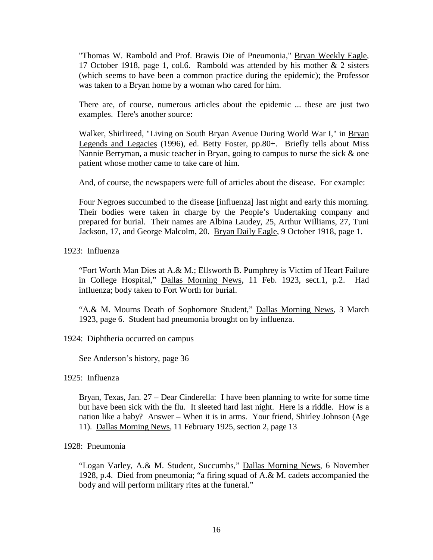"Thomas W. Rambold and Prof. Brawis Die of Pneumonia," Bryan Weekly Eagle, 17 October 1918, page 1, col.6. Rambold was attended by his mother & 2 sisters (which seems to have been a common practice during the epidemic); the Professor was taken to a Bryan home by a woman who cared for him.

There are, of course, numerous articles about the epidemic ... these are just two examples. Here's another source:

Walker, Shirlireed, "Living on South Bryan Avenue During World War I," in Bryan Legends and Legacies (1996), ed. Betty Foster, pp.80+. Briefly tells about Miss Nannie Berryman, a music teacher in Bryan, going to campus to nurse the sick & one patient whose mother came to take care of him.

And, of course, the newspapers were full of articles about the disease. For example:

Four Negroes succumbed to the disease [influenza] last night and early this morning. Their bodies were taken in charge by the People's Undertaking company and prepared for burial. Their names are Albina Laudey, 25, Arthur Williams, 27, Tuni Jackson, 17, and George Malcolm, 20. Bryan Daily Eagle, 9 October 1918, page 1.

1923: Influenza

"Fort Worth Man Dies at A.& M.; Ellsworth B. Pumphrey is Victim of Heart Failure in College Hospital," Dallas Morning News, 11 Feb. 1923, sect.1, p.2. Had influenza; body taken to Fort Worth for burial.

"A.& M. Mourns Death of Sophomore Student," Dallas Morning News, 3 March 1923, page 6. Student had pneumonia brought on by influenza.

### 1924: Diphtheria occurred on campus

See Anderson's history, page 36

1925: Influenza

Bryan, Texas, Jan. 27 – Dear Cinderella: I have been planning to write for some time but have been sick with the flu. It sleeted hard last night. Here is a riddle. How is a nation like a baby? Answer – When it is in arms. Your friend, Shirley Johnson (Age 11). Dallas Morning News, 11 February 1925, section 2, page 13

### 1928: Pneumonia

"Logan Varley, A.& M. Student, Succumbs," Dallas Morning News, 6 November 1928, p.4. Died from pneumonia; "a firing squad of A.& M. cadets accompanied the body and will perform military rites at the funeral."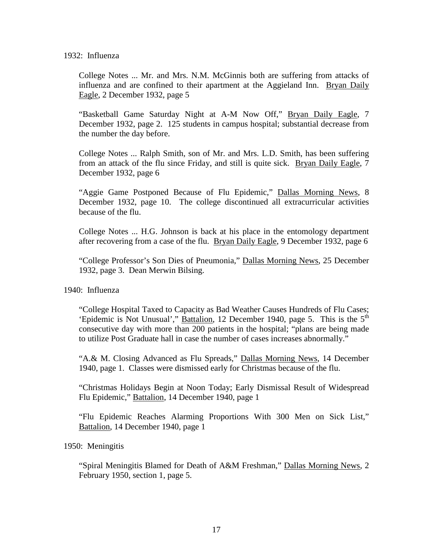1932: Influenza

College Notes ... Mr. and Mrs. N.M. McGinnis both are suffering from attacks of influenza and are confined to their apartment at the Aggieland Inn. Bryan Daily Eagle, 2 December 1932, page 5

"Basketball Game Saturday Night at A-M Now Off," Bryan Daily Eagle, 7 December 1932, page 2. 125 students in campus hospital; substantial decrease from the number the day before.

College Notes ... Ralph Smith, son of Mr. and Mrs. L.D. Smith, has been suffering from an attack of the flu since Friday, and still is quite sick. Bryan Daily Eagle, 7 December 1932, page 6

"Aggie Game Postponed Because of Flu Epidemic," Dallas Morning News, 8 December 1932, page 10. The college discontinued all extracurricular activities because of the flu.

College Notes ... H.G. Johnson is back at his place in the entomology department after recovering from a case of the flu. Bryan Daily Eagle, 9 December 1932, page 6

"College Professor's Son Dies of Pneumonia," Dallas Morning News, 25 December 1932, page 3. Dean Merwin Bilsing.

1940: Influenza

"College Hospital Taxed to Capacity as Bad Weather Causes Hundreds of Flu Cases; 'Epidemic is Not Unusual'," Battalion, 12 December 1940, page 5. This is the  $5<sup>th</sup>$ consecutive day with more than 200 patients in the hospital; "plans are being made to utilize Post Graduate hall in case the number of cases increases abnormally."

"A.& M. Closing Advanced as Flu Spreads," Dallas Morning News, 14 December 1940, page 1. Classes were dismissed early for Christmas because of the flu.

"Christmas Holidays Begin at Noon Today; Early Dismissal Result of Widespread Flu Epidemic," Battalion, 14 December 1940, page 1

"Flu Epidemic Reaches Alarming Proportions With 300 Men on Sick List," Battalion, 14 December 1940, page 1

1950: Meningitis

"Spiral Meningitis Blamed for Death of A&M Freshman," Dallas Morning News, 2 February 1950, section 1, page 5.